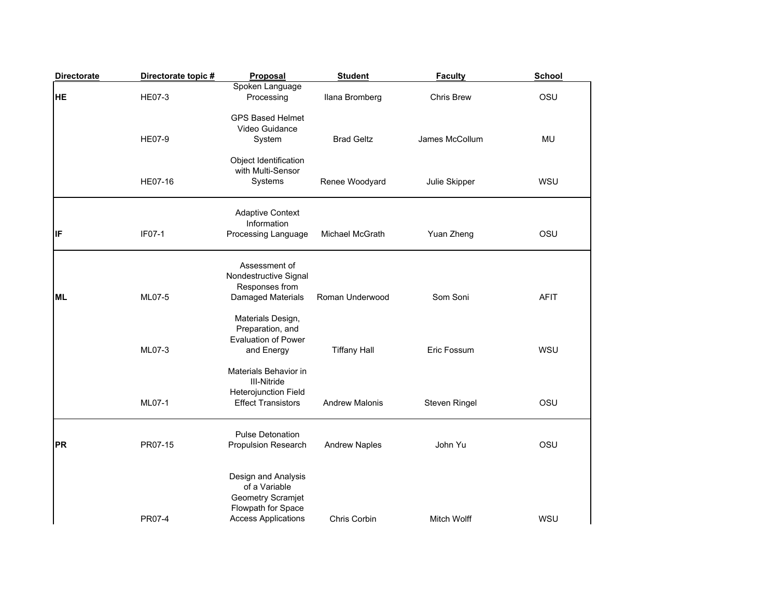| <b>Directorate</b> | Directorate topic # | Proposal                                                                                                      | <b>Student</b>        | <b>Faculty</b>     | School      |
|--------------------|---------------------|---------------------------------------------------------------------------------------------------------------|-----------------------|--------------------|-------------|
| <b>HE</b>          | <b>HE07-3</b>       | Spoken Language<br>Processing                                                                                 | Ilana Bromberg        | Chris Brew         | OSU         |
|                    | HE07-9              | <b>GPS Based Helmet</b><br>Video Guidance<br>System                                                           | <b>Brad Geltz</b>     | James McCollum     | MU          |
|                    | <b>HE07-16</b>      | Object Identification<br>with Multi-Sensor<br>Systems                                                         | Renee Woodyard        | Julie Skipper      | <b>WSU</b>  |
| lıF                | IF07-1              | <b>Adaptive Context</b><br>Information<br>Processing Language                                                 | Michael McGrath       | Yuan Zheng         | OSU         |
| <b>ML</b>          | ML07-5              | Assessment of<br>Nondestructive Signal<br>Responses from<br>Damaged Materials                                 | Roman Underwood       | Som Soni           | <b>AFIT</b> |
|                    | ML07-3              | Materials Design,<br>Preparation, and<br><b>Evaluation of Power</b><br>and Energy                             | <b>Tiffany Hall</b>   | Eric Fossum        | WSU         |
|                    | ML07-1              | Materials Behavior in<br><b>III-Nitride</b><br><b>Heterojunction Field</b><br><b>Effect Transistors</b>       | <b>Andrew Malonis</b> | Steven Ringel      | OSU         |
| PR                 | PR07-15             | <b>Pulse Detonation</b><br>Propulsion Research                                                                | <b>Andrew Naples</b>  | John Yu            | OSU         |
|                    | <b>PR07-4</b>       | Design and Analysis<br>of a Variable<br>Geometry Scramjet<br>Flowpath for Space<br><b>Access Applications</b> | Chris Corbin          | <b>Mitch Wolff</b> | WSU         |